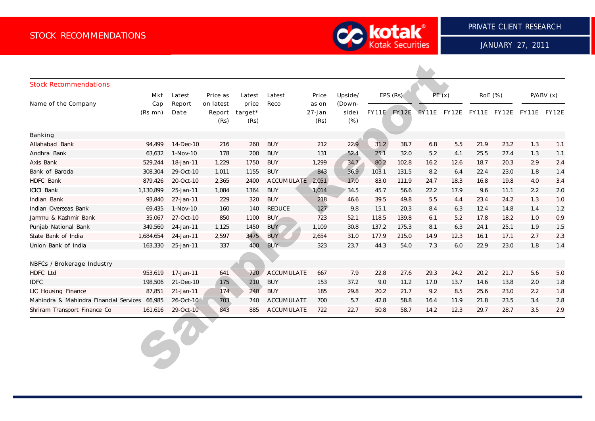

JANUARY 27, 2011

| <b>Stock Recommendations</b>                  |                |                |                             |                                    |                   |                         |                           |          |                    |       |      |                                     |                |          |     |
|-----------------------------------------------|----------------|----------------|-----------------------------|------------------------------------|-------------------|-------------------------|---------------------------|----------|--------------------|-------|------|-------------------------------------|----------------|----------|-----|
|                                               | Mkt            | Latest         | Price as                    | Latest<br>price<br>target*<br>(Rs) | Latest<br>Reco    | Price                   | Upside/                   | EPS (Rs) |                    | PE(x) |      |                                     | <b>RoE</b> (%) | P/ABV(x) |     |
| Name of the Company                           | Cap<br>(Rs mn) | Report<br>Date | on latest<br>Report<br>(Rs) |                                    |                   | as on<br>27-Jan<br>(Rs) | (Down-<br>side)<br>$(\%)$ |          | <b>FY11E FY12E</b> |       |      | FY11E FY12E FY11E FY12E FY11E FY12E |                |          |     |
| <b>Banking</b>                                |                |                |                             |                                    |                   |                         |                           |          |                    |       |      |                                     |                |          |     |
| Allahabad Bank                                | 94,499         | 14-Dec-10      | 216                         | 260                                | <b>BUY</b>        | 212                     | 22.9                      | 31.2     | 38.7               | 6.8   | 5.5  | 21.9                                | 23.2           | 1.3      | 1.1 |
| Andhra Bank                                   | 63,632         | 1-Nov-10       | 178                         | 200                                | <b>BUY</b>        | 131                     | 52.4                      | 25.1     | 32.0               | $5.2$ | 4.1  | 25.5                                | 27.4           | 1.3      | 1.1 |
| Axis Bank                                     | 529,244        | 18-Jan-11      | 1,229                       | 1750                               | <b>BUY</b>        | 1,299                   | 34.7                      | 80.2     | 102.8              | 16.2  | 12.6 | 18.7                                | 20.3           | 2.9      | 2.4 |
| Bank of Baroda                                | 308,304        | 29-Oct-10      | 1,011                       | 1155                               | <b>BUY</b>        | 843                     | 36.9                      | 103.1    | 131.5              | 8.2   | 6.4  | 22.4                                | 23.0           | 1.8      | 1.4 |
| <b>HDFC Bank</b>                              | 879,426        | 20-Oct-10      | 2,365                       | 2400                               | ACCUMULATE        | 2,051                   | 17.0                      | 83.0     | 111.9              | 24.7  | 18.3 | 16.8                                | 19.8           | $4.0$    | 3.4 |
| <b>ICICI Bank</b>                             | 1,130,899      | 25-Jan-11      | 1,084                       | 1364                               | <b>BUY</b>        | 1,014                   | 34.5                      | 45.7     | 56.6               | 22.2  | 17.9 | 9.6                                 | 11.1           | 2.2      | 2.0 |
| Indian Bank                                   | 93,840         | 27-Jan-11      | 229                         | 320                                | <b>BUY</b>        | 218                     | 46.6                      | 39.5     | 49.8               | 5.5   | 4.4  | 23.4                                | 24.2           | 1.3      | 1.0 |
| Indian Overseas Bank                          | 69,435         | 1-Nov-10       | 160                         | 140                                | <b>REDUCE</b>     | 127                     | 9.8                       | 15.1     | 20.3               | 8.4   | 6.3  | 12.4                                | 14.8           | 1.4      | 1.2 |
| Jammu & Kashmir Bank                          | 35,067         | 27-Oct-10      | 850                         | 1100                               | <b>BUY</b>        | 723                     | 52.1                      | 118.5    | 139.8              | 6.1   | 5.2  | 17.8                                | 18.2           | 1.0      | 0.9 |
| Punjab National Bank                          | 349,560        | 24-Jan-11      | 1,125                       | 1450                               | <b>BUY</b>        | 1.109                   | 30.8                      | 137.2    | 175.3              | 8.1   | 6.3  | 24.1                                | 25.1           | 1.9      | 1.5 |
| State Bank of India                           | 1,684,654      | 24-Jan-11      | 2,597                       | 3475                               | <b>BUY</b>        | 2,654                   | 31.0                      | 177.9    | 215.0              | 14.9  | 12.3 | 16.1                                | 17.1           | 2.7      | 2.3 |
| Union Bank of India                           | 163,330        | 25-Jan-11      | 337                         | 400                                | <b>BUY</b>        | 323                     | 23.7                      | 44.3     | 54.0               | 7.3   | 6.0  | 22.9                                | 23.0           | 1.8      | 1.4 |
| <b>NBFCs / Brokerage Industry</b>             |                |                |                             |                                    |                   |                         |                           |          |                    |       |      |                                     |                |          |     |
| <b>HDFC Ltd</b>                               | 953,619        | 17-Jan-11      | 641                         | 720                                | <b>ACCUMULATE</b> | 667                     | 7.9                       | 22.8     | 27.6               | 29.3  | 24.2 | 20.2                                | 21.7           | 5.6      | 5.0 |
| <b>IDFC</b>                                   | 198,506        | 21-Dec-10      | 175                         | 210                                | <b>BUY</b>        | 153                     | 37.2                      | 9.0      | 11.2               | 17.0  | 13.7 | 14.6                                | 13.8           | 2.0      | 1.8 |
| LIC Housing Finance                           | 87,851         | 21-Jan-11      | 174                         | 240                                | <b>BUY</b>        | 185                     | 29.8                      | 20.2     | 21.7               | 9.2   | 8.5  | 25.6                                | 23.0           | 2.2      | 1.8 |
| Mahindra & Mahindra Financial Services 66,985 |                | 26-Oct-10      | 703                         | 740                                | <b>ACCUMULATE</b> | 700                     | 5.7                       | 42.8     | 58.8               | 16.4  | 11.9 | 21.8                                | 23.5           | 3.4      | 2.8 |
| Shriram Transport Finance Co                  | 161,616        | 29-Oct-10      | 843                         | 885                                | <b>ACCUMULATE</b> | 722                     | 22.7                      | 50.8     | 58.7               | 14.2  | 12.3 | 29.7                                | 28.7           | 3.5      | 2.9 |
|                                               |                | $e^{\nu}$      |                             |                                    |                   |                         |                           |          |                    |       |      |                                     |                |          |     |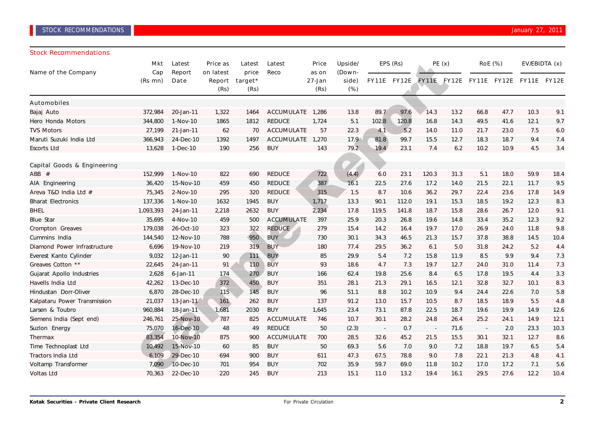# STOCK RECOMMENDATIONS **The Community of the Community Community** of the Community Community Community Community Community Community Community Community Community Community Community Community Community Community Community

#### Stock Recommendations

| Name of the Company          | Mkt<br>Cap | Latest<br>Report | Price as<br>on latest | Latest<br>price<br>target*<br>(Rs) | Latest<br>Reco    | Price<br>as on<br>27-Jan<br>(Rs) | Upside/<br>(Down-<br>side)<br>$(\%)$ | EPS (Rs) |             | PE(x)                    |             | <b>RoE</b> (%)     |      | EV/EBIDTA (x) |              |
|------------------------------|------------|------------------|-----------------------|------------------------------------|-------------------|----------------------------------|--------------------------------------|----------|-------------|--------------------------|-------------|--------------------|------|---------------|--------------|
|                              | (Rs mn)    | Date             | Report<br>(Rs)        |                                    |                   |                                  |                                      |          | FY11E FY12E |                          | FY11E FY12E | <b>FY11E FY12E</b> |      | <b>FY11E</b>  | <b>FY12E</b> |
| <b>Automobiles</b>           |            |                  |                       |                                    |                   |                                  |                                      |          |             |                          |             |                    |      |               |              |
| Bajaj Auto                   | 372,984    | 20-Jan-11        | 1,322                 | 1464                               | ACCUMULATE        | 1,286                            | 13.8                                 | 89.7     | 97.6        | 14.3                     | 13.2        | 66.8               | 47.7 | 10.3          | 9.1          |
| Hero Honda Motors            | 344,800    | 1-Nov-10         | 1865                  | 1812                               | <b>REDUCE</b>     | 1,724                            | 5.1                                  | 102.8    | 120.8       | 16.8                     | 14.3        | 49.5               | 41.6 | 12.1          | 9.7          |
| <b>TVS Motors</b>            | 27,199     | 21-Jan-11        | 62                    | 70                                 | <b>ACCUMULATE</b> | 57                               | 22.3                                 | 4.1      | 5.2         | 14.0                     | 11.0        | 21.7               | 23.0 | 7.5           | 6.0          |
| Maruti Suzuki India Ltd      | 366,943    | 24-Dec-10        | 1392                  | 1497                               | <b>ACCUMULATE</b> | 1,270                            | 17.9                                 | 81.8     | 99.7        | 15.5                     | 12.7        | 18.3               | 18.7 | 9.4           | 7.4          |
| <b>Escorts Ltd</b>           | 13,628     | 1-Dec-10         | 190                   | 256                                | <b>BUY</b>        | 143                              | 79.2                                 | 19.4     | 23.1        | 7.4                      | 6.2         | 10.2               | 10.9 | 4.5           | 3.4          |
| Capital Goods & Engineering  |            |                  |                       |                                    |                   |                                  |                                      |          |             |                          |             |                    |      |               |              |
| $ABB$ #                      | 152,999    | 1-Nov-10         | 822                   | 690                                | <b>REDUCE</b>     | 722                              | (4.4)                                | 6.0      | 23.1        | 120.3                    | 31.3        | 5.1                | 18.0 | 59.9          | 18.4         |
| AIA Engineering              | 36,420     | 15-Nov-10        | 459                   | 450                                | <b>REDUCE</b>     | 387                              | 16.1                                 | 22.5     | 27.6        | 17.2                     | 14.0        | 21.5               | 22.1 | 11.7          | 9.5          |
| Areva T&D India Ltd #        | 75,345     | 2-Nov-10         | 295                   | 320                                | <b>REDUCE</b>     | 315                              | 1.5                                  | 8.7      | 10.6        | 36.2                     | 29.7        | 22.4               | 23.6 | 17.8          | 14.9         |
| <b>Bharat Electronics</b>    | 137,336    | 1-Nov-10         | 1632                  | 1945                               | <b>BUY</b>        | 1,717                            | 13.3                                 | 90.1     | 112.0       | 19.1                     | 15.3        | 18.5               | 19.2 | 12.3          | 8.3          |
| <b>BHEL</b>                  | 1,093,393  | 24-Jan-11        | 2,218                 | 2632                               | <b>BUY</b>        | 2,234                            | 17.8                                 | 119.5    | 141.8       | 18.7                     | 15.8        | 28.6               | 26.7 | 12.0          | 9.1          |
| <b>Blue Star</b>             | 35,695     | 4-Nov-10         | 459                   | 500                                | <b>ACCUMULATE</b> | 397                              | 25.9                                 | 20.3     | 26.8        | 19.6                     | 14.8        | 33.4               | 35.2 | 12.3          | 9.2          |
| Crompton Greaves             | 179,038    | 26-Oct-10        | 323                   | 322                                | <b>REDUCE</b>     | 279                              | 15.4                                 | 14.2     | 16.4        | 19.7                     | 17.0        | 26.9               | 24.0 | 11.8          | 9.8          |
| Cummins India                | 144,540    | 12-Nov-10        | 788                   | 950                                | <b>BUY</b>        | 730                              | 30.1                                 | 34.3     | 46.5        | 21.3                     | 15.7        | 37.8               | 38.8 | 14.5          | 10.4         |
| Diamond Power Infrastructure | 6,696      | 19-Nov-10        | 219                   | 319                                | <b>BUY</b>        | 180                              | 77.4                                 | 29.5     | 36.2        | 6.1                      | 5.0         | 31.8               | 24.2 | 5.2           | 4.4          |
| Everest Kanto Cylinder       | 9,032      | 12-Jan-11        | 90                    | 111                                | <b>BUY</b>        | 85                               | 29.9                                 | 5.4      | 7.2         | 15.8                     | 11.9        | 8.5                | 9.9  | 9.4           | 7.3          |
| Greaves Cotton **            | 22,645     | 24-Jan-11        | 91                    | 110                                | BUY               | 93                               | 18.6                                 | 4.7      | 7.3         | 19.7                     | 12.7        | 24.0               | 31.0 | 11.4          | 7.3          |
| Gujarat Apollo Industries    | 2,628      | $6$ -Jan-11      | 174                   | 270                                | <b>BUY</b>        | 166                              | 62.4                                 | 19.8     | 25.6        | 8.4                      | 6.5         | 17.8               | 19.5 | 4.4           | 3.3          |
| Havells India Ltd            | 42,262     | 13-Dec-10        | 372                   | 450                                | <b>BUY</b>        | 351                              | 28.1                                 | 21.3     | 29.1        | 16.5                     | 12.1        | 32.8               | 32.7 | 10.1          | 8.3          |
| Hindustan Dorr-Oliver        | 6,870      | 28-Dec-10        | 115                   | 145                                | <b>BUY</b>        | 96                               | 51.1                                 | 8.8      | 10.2        | 10.9                     | 9.4         | 24.4               | 22.6 | 7.0           | 5.8          |
| Kalpataru Power Transmission | 21,037     | 13-Jan-11        | 161                   | 262                                | <b>BUY</b>        | 137                              | 91.2                                 | 13.0     | 15.7        | 10.5                     | 8.7         | 18.5               | 18.9 | 5.5           | 4.8          |
| Larsen & Toubro              | 960,884    | 18-Jan-11        | 1,681                 | 2030                               | <b>BUY</b>        | 1,645                            | 23.4                                 | 73.1     | 87.8        | 22.5                     | 18.7        | 19.6               | 19.9 | 14.9          | 12.6         |
| Siemens India (Sept end)     | 246,761    | 25-Nov-10        | 787                   | 825                                | ACCUMULATE        | 746                              | 10.7                                 | 30.1     | 28.2        | 24.8                     | 26.4        | 25.2               | 24.1 | 14.9          | 12.1         |
| Suzlon Energy                | 75,070     | 16-Dec-10        | 48                    | 49                                 | <b>REDUCE</b>     | 50                               | (2.3)                                | $\sim$   | 0.7         | $\overline{\phantom{a}}$ | 71.6        | $\sim$             | 2.0  | 23.3          | 10.3         |
| Thermax                      | 83,354     | 10-Nov-10        | 875                   | 900                                | <b>ACCUMULATE</b> | 700                              | 28.5                                 | 32.6     | 45.2        | 21.5                     | 15.5        | 30.1               | 32.1 | 12.7          | 8.6          |
| Time Technoplast Ltd         | 10,492     | 15-Nov-10        | 60                    | 85                                 | <b>BUY</b>        | 50                               | 69.3                                 | 5.6      | 7.0         | 9.0                      | 7.2         | 18.8               | 19.7 | 6.5           | 5.4          |
| <b>Tractors India Ltd</b>    | 6.109      | 29-Dec-10        | 694                   | 900                                | <b>BUY</b>        | 611                              | 47.3                                 | 67.5     | 78.8        | 9.0                      | 7.8         | 22.1               | 21.3 | 4.8           | 4.1          |
| Voltamp Transformer          | 7.090      | 10-Dec-10        | 701                   | 954                                | <b>BUY</b>        | 702                              | 35.9                                 | 59.7     | 69.0        | 11.8                     | 10.2        | 17.0               | 17.2 | 7.1           | 5.6          |
| <b>Voltas Ltd</b>            | 70,363     | 22-Dec-10        | 220                   | 245                                | <b>BUY</b>        | 213                              | 15.1                                 | 11.0     | 13.2        | 19.4                     | 16.1        | 29.5               | 27.6 | 12.2          | 10.4         |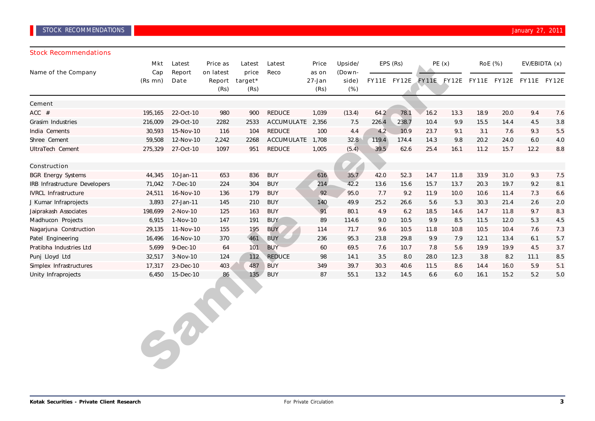## **STOCK RECOMMENDATIONS STOCK RECOMMENDATIONS**

#### Stock Recommendations

| Name of the Company           | Mkt<br>Cap | Latest<br>Report | Price as<br>on latest | Latest<br>price | Latest<br>Reco    | Price<br>as on     | Upside/<br>(Down- |       | EPS (Rs)           |      | PE(x) |                         | <b>RoE</b> (%) |      | EV/EBIDTA (x)      |
|-------------------------------|------------|------------------|-----------------------|-----------------|-------------------|--------------------|-------------------|-------|--------------------|------|-------|-------------------------|----------------|------|--------------------|
|                               | (Rs mn)    | Date             | Report<br>(Rs)        | target*<br>(Rs) |                   | $27 - Jan$<br>(Rs) | side)<br>$(\%)$   |       | <b>FY11E FY12E</b> |      |       | FY11E FY12E FY11E FY12E |                |      | <b>FY11E FY12E</b> |
| Cement                        |            |                  |                       |                 |                   |                    |                   |       |                    |      |       |                         |                |      |                    |
| $ACC$ #                       | 195,165    | 22-Oct-10        | 980                   | 900             | <b>REDUCE</b>     | 1,039              | (13.4)            | 64.2  | 78.1               | 16.2 | 13.3  | 18.9                    | 20.0           | 9.4  | 7.6                |
| Grasim Industries             | 216,009    | 29-Oct-10        | 2282                  | 2533            | <b>ACCUMULATE</b> | 2,356              | 7.5               | 226.4 | 238.7              | 10.4 | 9.9   | 15.5                    | 14.4           | 4.5  | 3.8                |
| India Cements                 | 30,593     | 15-Nov-10        | 116                   | 104             | <b>REDUCE</b>     | 100                | 4.4               | 4.2   | 10.9               | 23.7 | 9.1   | 3.1                     | 7.6            | 9.3  | 5.5                |
| Shree Cement                  | 59,508     | 12-Nov-10        | 2,242                 | 2268            | <b>ACCUMULATE</b> | 1,708              | 32.8              | 119.4 | 174.4              | 14.3 | 9.8   | 20.2                    | 24.0           | 6.0  | 4.0                |
| UltraTech Cement              | 275,329    | 27-Oct-10        | 1097                  | 951             | <b>REDUCE</b>     | 1,005              | (5.4)             | 39.5  | 62.6               | 25.4 | 16.1  | 11.2                    | 15.7           | 12.2 | 8.8                |
| <b>Construction</b>           |            |                  |                       |                 |                   |                    |                   |       |                    |      |       |                         |                |      |                    |
| <b>BGR Energy Systems</b>     | 44,345     | 10-Jan-11        | 653                   | 836             | <b>BUY</b>        | 616                | 35.7              | 42.0  | 52.3               | 14.7 | 11.8  | 33.9                    | 31.0           | 9.3  | 7.5                |
| IRB Infrastructure Developers | 71,042     | 7-Dec-10         | 224                   | 304             | <b>BUY</b>        | 214                | 42.2              | 13.6  | 15.6               | 15.7 | 13.7  | 20.3                    | 19.7           | 9.2  | 8.1                |
| <b>IVRCL Infrastructure</b>   | 24,511     | 16-Nov-10        | 136                   | 179             | <b>BUY</b>        | 92                 | 95.0              | 7.7   | 9.2                | 11.9 | 10.0  | 10.6                    | 11.4           | 7.3  | 6.6                |
| J Kumar Infraprojects         | 3,893      | 27-Jan-11        | 145                   | 210             | <b>BUY</b>        | 140                | 49.9              | 25.2  | 26.6               | 5.6  | 5.3   | 30.3                    | 21.4           | 2.6  | 2.0                |
| Jaiprakash Associates         | 198,699    | 2-Nov-10         | 125                   | 163             | <b>BUY</b>        | 91                 | 80.1              | 4.9   | 6.2                | 18.5 | 14.6  | 14.7                    | 11.8           | 9.7  | 8.3                |
| Madhucon Projects             | 6,915      | 1-Nov-10         | 147                   | 191             | <b>BUY</b>        | 89                 | 114.6             | 9.0   | 10.5               | 9.9  | 8.5   | 11.5                    | 12.0           | 5.3  | 4.5                |
| Nagarjuna Construction        | 29,135     | 11-Nov-10        | 155                   | 195             | <b>BUY</b>        | 114                | 71.7              | 9.6   | 10.5               | 11.8 | 10.8  | 10.5                    | 10.4           | 7.6  | 7.3                |
| Patel Engineering             | 16,496     | 16-Nov-10        | 370                   | 461             | <b>BUY</b>        | 236                | 95.3              | 23.8  | 29.8               | 9.9  | 7.9   | 12.1                    | 13.4           | 6.1  | 5.7                |
| Pratibha Industries Ltd       | 5,699      | 9-Dec-10         | 64                    | 101             | <b>BUY</b>        | 60                 | 69.5              | 7.6   | 10.7               | 7.8  | 5.6   | 19.9                    | 19.9           | 4.5  | 3.7                |
| Punj Lloyd Ltd                | 32,517     | $3-Nov-10$       | 124                   | 112             | <b>REDUCE</b>     | 98                 | 14.1              | 3.5   | 8.0                | 28.0 | 12.3  | 3.8                     | 8.2            | 11.1 | 8.5                |
| Simplex Infrastructures       | 17,317     | 23-Dec-10        | 403                   | 487             | <b>BUY</b>        | 349                | 39.7              | 30.3  | 40.6               | 11.5 | 8.6   | 14.4                    | 16.0           | 5.9  | 5.1                |
| Unity Infraprojects           | 6,450      | 15-Dec-10        | 86                    | 135             | <b>BUY</b>        | 87                 | 55.1              | 13.2  | 14.5               | 6.6  | 6.0   | 16.1                    | 15.2           | 5.2  | 5.0                |

Sample Report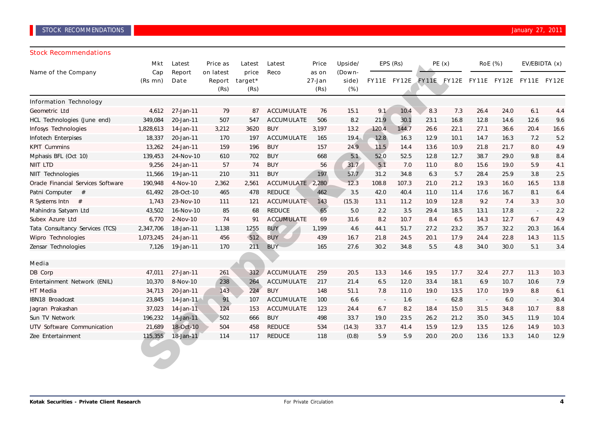### Stock Recommendations

|                                    | Latest<br>Mkt  |                | Price as                    | Latest                   | Latest            | Price                   | Upside/                   | EPS (Rs)                 |       | PE(x) |      | <b>RoE</b> (%)           |      | EV/EBIDTA (x)                                   |      |
|------------------------------------|----------------|----------------|-----------------------------|--------------------------|-------------------|-------------------------|---------------------------|--------------------------|-------|-------|------|--------------------------|------|-------------------------------------------------|------|
| Name of the Company                | Cap<br>(Rs mn) | Report<br>Date | on latest<br>Report<br>(Rs) | price<br>target*<br>(Rs) | Reco              | as on<br>27-Jan<br>(Rs) | (Down-<br>side)<br>$(\%)$ |                          |       |       |      |                          |      | FY11E FY12E FY11E FY12E FY11E FY12E FY11E FY12E |      |
| <b>Information Technology</b>      |                |                |                             |                          |                   |                         |                           |                          |       |       |      |                          |      |                                                 |      |
| Geometric Ltd                      | 4,612          | 27-Jan-11      | 79                          | 87                       | ACCUMULATE        | 76                      | 15.1                      | 9.1                      | 10.4  | 8.3   | 7.3  | 26.4                     | 24.0 | 6.1                                             | 4.4  |
| HCL Technologies (June end)        | 349,084        | 20-Jan-11      | 507                         | 547                      | <b>ACCUMULATE</b> | 506                     | 8.2                       | 21.9                     | 30.1  | 23.1  | 16.8 | 12.8                     | 14.6 | 12.6                                            | 9.6  |
| Infosys Technologies               | 1,828,613      | 14-Jan-11      | 3,212                       | 3620                     | <b>BUY</b>        | 3,197                   | 13.2                      | 120.4                    | 144.7 | 26.6  | 22.1 | 27.1                     | 36.6 | 20.4                                            | 16.6 |
| Infotech Enterpises                | 18,337         | 20-Jan-11      | 170                         | 197                      | <b>ACCUMULATE</b> | 165                     | 19.4                      | 12.8                     | 16.3  | 12.9  | 10.1 | 14.7                     | 16.3 | 7.2                                             | 5.2  |
| <b>KPIT Cummins</b>                | 13,262         | 24-Jan-11      | 159                         | 196                      | <b>BUY</b>        | 157                     | 24.9                      | 11.5                     | 14.4  | 13.6  | 10.9 | 21.8                     | 21.7 | 8.0                                             | 4.9  |
| Mphasis BFL (Oct 10)               | 139,453        | 24-Nov-10      | 610                         | 702                      | <b>BUY</b>        | 668                     | 5.1                       | 52.0                     | 52.5  | 12.8  | 12.7 | 38.7                     | 29.0 | 9.8                                             | 8.4  |
| <b>NIIT LTD</b>                    | 9,256          | 24-Jan-11      | 57                          | 74                       | <b>BUY</b>        | 56                      | 31.7                      | 5.1                      | 7.0   | 11.0  | 8.0  | 15.6                     | 19.0 | 5.9                                             | 4.1  |
| NIIT Technologies                  | 11,566         | 19-Jan-11      | 210                         | 311                      | <b>BUY</b>        | 197                     | 57.7                      | 31.2                     | 34.8  | 6.3   | 5.7  | 28.4                     | 25.9 | 3.8                                             | 2.5  |
| Oracle Financial Services Software | 190,948        | 4-Nov-10       | 2,362                       | 2,561                    | ACCUMULATE 2,280  |                         | 12.3                      | 108.8                    | 107.3 | 21.0  | 21.2 | 19.3                     | 16.0 | 16.5                                            | 13.8 |
| Patni Computer<br>#                | 61,492         | 28-Oct-10      | 465                         | 478                      | <b>REDUCE</b>     | 462                     | 3.5                       | 42.0                     | 40.4  | 11.0  | 11.4 | 17.6                     | 16.7 | 8.1                                             | 6.4  |
| R Systems Intn $#$                 | 1,743          | 23-Nov-10      | 111                         | 121                      | <b>ACCUMULATE</b> | 143                     | (15.3)                    | 13.1                     | 11.2  | 10.9  | 12.8 | 9.2                      | 7.4  | 3.3                                             | 3.0  |
| Mahindra Satyam Ltd                | 43,502         | 16-Nov-10      | 85                          | 68                       | REDUCE            | 65                      | 5.0                       | 2.2                      | 3.5   | 29.4  | 18.5 | 13.1                     | 17.8 | $\sim$                                          | 2.2  |
| Subex Azure Ltd                    | 6,770          | 2-Nov-10       | 74                          | 91                       | <b>ACCUMULATE</b> | 69                      | 31.6                      | 8.2                      | 10.7  | 8.4   | 6.5  | 14.3                     | 12.7 | 6.7                                             | 4.9  |
| Tata Consultancy Services (TCS)    | 2,347,706      | 18-Jan-11      | 1,138                       | 1255                     | <b>BUY</b>        | 1,199                   | 4.6                       | 44.1                     | 51.7  | 27.2  | 23.2 | 35.7                     | 32.2 | 20.3                                            | 16.4 |
| Wipro Technologies                 | 1,073,245      | 24-Jan-11      | 456                         | 512                      | <b>BUY</b>        | 439                     | 16.7                      | 21.8                     | 24.5  | 20.1  | 17.9 | 24.4                     | 22.8 | 14.3                                            | 11.5 |
| Zensar Technologies                | 7,126          | 19-Jan-11      | 170                         | 211                      | <b>BUY</b>        | 165                     | 27.6                      | 30.2                     | 34.8  | 5.5   | 4.8  | 34.0                     | 30.0 | 5.1                                             | 3.4  |
|                                    |                |                |                             |                          |                   |                         |                           |                          |       |       |      |                          |      |                                                 |      |
| Media                              |                |                |                             |                          |                   |                         |                           |                          |       |       |      |                          |      |                                                 |      |
| DB Corp                            | 47,011         | 27-Jan-11      | 261                         | 312                      | <b>ACCUMULATE</b> | 259                     | 20.5                      | 13.3                     | 14.6  | 19.5  | 17.7 | 32.4                     | 27.7 | 11.3                                            | 10.3 |
| Entertainment Network (ENIL)       | 10,370         | 8-Nov-10       | 238                         | 264                      | ACCUMULATE        | 217                     | 21.4                      | 6.5                      | 12.0  | 33.4  | 18.1 | 6.9                      | 10.7 | 10.6                                            | 7.9  |
| HT Media                           | 34,713         | 20-Jan-11      | 143                         | 224                      | <b>BUY</b>        | 148                     | 51.1                      | 7.8                      | 11.0  | 19.0  | 13.5 | 17.0                     | 19.9 | 8.8                                             | 6.1  |
| IBN18 Broadcast                    | 23,845         | 14-Jan-11      | 91                          | 107                      | <b>ACCUMULATE</b> | 100                     | 6.6                       | $\overline{\phantom{a}}$ | 1.6   |       | 62.8 | $\overline{\phantom{a}}$ | 6.0  |                                                 | 30.4 |
| Jagran Prakashan                   | 37,023         | 14-Jan-11      | 124                         | 153                      | <b>ACCUMULATE</b> | 123                     | 24.4                      | 6.7                      | 8.2   | 18.4  | 15.0 | 31.5                     | 34.8 | 10.7                                            | 8.8  |
| Sun TV Network                     | 196,232        | 14-Jan-11      | 502                         | 666                      | <b>BUY</b>        | 498                     | 33.7                      | 19.0                     | 23.5  | 26.2  | 21.2 | 35.0                     | 34.5 | 11.9                                            | 10.4 |
| UTV Software Communication         | 21,689         | 18-Oct-10      | 504                         | 458                      | <b>REDUCE</b>     | 534                     | (14.3)                    | 33.7                     | 41.4  | 15.9  | 12.9 | 13.5                     | 12.6 | 14.9                                            | 10.3 |
| Zee Entertainment                  | 115,355        | 18-Jan-11      | 114                         | 117                      | <b>REDUCE</b>     | 118                     | (0.8)                     | 5.9                      | 5.9   | 20.0  | 20.0 | 13.6                     | 13.3 | 14.0                                            | 12.9 |
|                                    |                |                |                             |                          |                   |                         |                           |                          |       |       |      |                          |      |                                                 |      |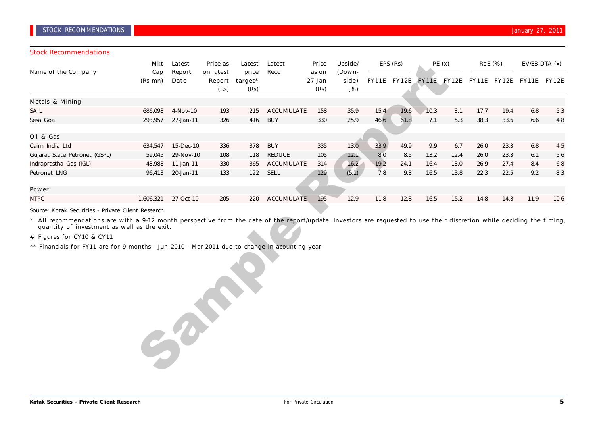Stock Recommendations

| JIULA RELUHIIIEHUALIUIIS      |                |                |                             |                                    |                   |                         |                           |              |              |       |              |                |              |               |              |
|-------------------------------|----------------|----------------|-----------------------------|------------------------------------|-------------------|-------------------------|---------------------------|--------------|--------------|-------|--------------|----------------|--------------|---------------|--------------|
|                               | Mkt            | Latest         | Price as                    | Latest<br>price<br>target*<br>(Rs) | Latest            | Price                   | Upside/                   | EPS (Rs)     |              | PE(x) |              | <b>RoE</b> (%) |              | EV/EBIDTA (x) |              |
| Name of the Company           | Cap<br>(Rs mn) | Report<br>Date | on latest<br>Report<br>(Rs) |                                    | Reco              | as on<br>27-Jan<br>(Rs) | (Down-<br>side)<br>$(\%)$ | <b>FY11E</b> | <b>FY12E</b> | FY11E | <b>FY12E</b> | <b>FY11E</b>   | <b>FY12E</b> | <b>FY11E</b>  | <b>FY12E</b> |
| <b>Metals &amp; Mining</b>    |                |                |                             |                                    |                   |                         |                           |              |              |       |              |                |              |               |              |
| SAIL                          | 686,098        | 4-Nov-10       | 193                         | 215                                | <b>ACCUMULATE</b> | 158                     | 35.9                      | 15.4         | 19.6         | 10.3  | 8.1          | 17.7           | 19.4         | 6.8           | 5.3          |
| Sesa Goa                      | 293,957        | 27-Jan-11      | 326                         | 416                                | <b>BUY</b>        | 330                     | 25.9                      | 46.6         | 61.8         | 7.1   | 5.3          | 38.3           | 33.6         | 6.6           | 4.8          |
|                               |                |                |                             |                                    |                   |                         |                           |              |              |       |              |                |              |               |              |
| Oil & Gas                     |                |                |                             |                                    |                   |                         |                           |              |              |       |              |                |              |               |              |
| Cairn India Ltd               | 634,547        | 15-Dec-10      | 336                         | 378                                | <b>BUY</b>        | 335                     | 13.0                      | 33.9         | 49.9         | 9.9   | 6.7          | 26.0           | 23.3         | 6.8           | 4.5          |
| Gujarat State Petronet (GSPL) | 59,045         | 29-Nov-10      | 108                         | 118                                | REDUCE            | 105                     | 12.1                      | 8.0          | 8.5          | 13.2  | 12.4         | 26.0           | 23.3         | 6.1           | 5.6          |
| Indraprastha Gas (IGL)        | 43,988         | 11-Jan-11      | 330                         | 365                                | ACCUMULATE        | 314                     | 16.2                      | 19.2         | 24.1         | 16.4  | 13.0         | 26.9           | 27.4         | 8.4           | 6.8          |
| Petronet LNG                  | 96,413         | 20-Jan-11      | 133                         | 122                                | SELL              | 129                     | (5.1)                     | 7.8          | 9.3          | 16.5  | 13.8         | 22.3           | 22.5         | 9.2           | 8.3          |
|                               |                |                |                             |                                    |                   |                         |                           |              |              |       |              |                |              |               |              |
| Power                         |                |                |                             |                                    |                   |                         |                           |              |              |       |              |                |              |               |              |
| <b>NTPC</b>                   | 1,606,321      | 27-Oct-10      | 205                         | 220                                | <b>ACCUMULATE</b> | 195                     | 12.9                      | 11.8         | 12.8         | 16.5  | 15.2         | 14.8           | 14.8         | 11.9          | 10.6         |

Source: Kotak Securities - Private Client Research

\* All recommendations are with a 9-12 month perspective from the date of the report/update. Investors are requested to use their discretion while deciding the timing, quantity of investment as well as the exit.

# Figures for CY10 & CY11

\*\* Financials for FY11 are for 9 months - Jun 2010 - Mar-2011 due to change in acounting year

Sample Report